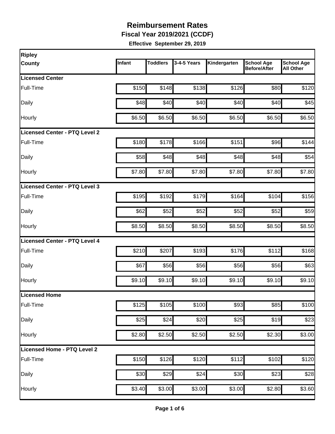**Fiscal Year 2019/2021 (CCDF)**

| Ripley                               |        |                 |             |              |                                          |                                       |
|--------------------------------------|--------|-----------------|-------------|--------------|------------------------------------------|---------------------------------------|
| <b>County</b>                        | Infant | <b>Toddlers</b> | 3-4-5 Years | Kindergarten | <b>School Age</b><br><b>Before/After</b> | <b>School Age</b><br><b>All Other</b> |
| <b>Licensed Center</b>               |        |                 |             |              |                                          |                                       |
| Full-Time                            | \$150  | \$148           | \$138       | \$126        | \$80                                     | \$120                                 |
| Daily                                | \$48   | \$40            | \$40        | \$40         | \$40                                     | \$45                                  |
| Hourly                               | \$6.50 | \$6.50          | \$6.50      | \$6.50       | \$6.50                                   | \$6.50                                |
| <b>Licensed Center - PTQ Level 2</b> |        |                 |             |              |                                          |                                       |
| Full-Time                            | \$180  | \$178           | \$166       | \$151        | \$96                                     | \$144                                 |
| Daily                                | \$58   | \$48]           | \$48        | \$48         | \$48                                     | \$54                                  |
| Hourly                               | \$7.80 | \$7.80          | \$7.80      | \$7.80       | \$7.80                                   | \$7.80                                |
| Licensed Center - PTQ Level 3        |        |                 |             |              |                                          |                                       |
| Full-Time                            | \$195  | \$192           | \$179       | \$164        | \$104                                    | \$156                                 |
| Daily                                | \$62   | \$52            | \$52        | \$52         | \$52                                     | \$59                                  |
| Hourly                               | \$8.50 | \$8.50          | \$8.50      | \$8.50       | \$8.50                                   | \$8.50                                |
| <b>Licensed Center - PTQ Level 4</b> |        |                 |             |              |                                          |                                       |
| Full-Time                            | \$210  | \$207           | \$193       | \$176        | \$112                                    | \$168                                 |
| Daily                                | \$67   | \$56            | \$56        | \$56         | \$56                                     | \$63                                  |
| Hourly                               | \$9.10 | \$9.10          | \$9.10      | \$9.10       | \$9.10                                   | \$9.10                                |
| Licensed Home                        |        |                 |             |              |                                          |                                       |
| Full-Time                            | \$125  | \$105           | \$100       | \$93         | \$85                                     | \$100                                 |
| Daily                                | \$25   | \$24            | \$20        | \$25         | \$19                                     | \$23                                  |
| Hourly                               | \$2.80 | \$2.50          | \$2.50      | \$2.50       | \$2.30                                   | \$3.00                                |
| Licensed Home - PTQ Level 2          |        |                 |             |              |                                          |                                       |
| Full-Time                            | \$150  | \$126           | \$120       | \$112        | \$102                                    | \$120                                 |
| Daily                                | \$30   | \$29            | \$24        | \$30         | \$23                                     | \$28                                  |
| Hourly                               | \$3.40 | \$3.00          | \$3.00      | \$3.00       | \$2.80                                   | \$3.60                                |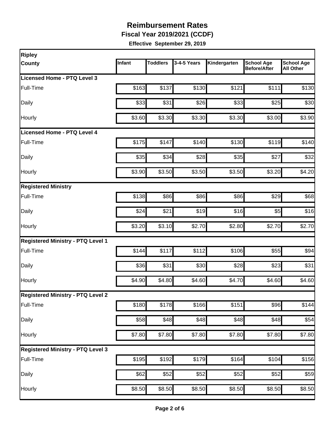**Fiscal Year 2019/2021 (CCDF)**

| <b>Ripley</b>                            |        |                 |             |                    |                                          |                                       |
|------------------------------------------|--------|-----------------|-------------|--------------------|------------------------------------------|---------------------------------------|
| <b>County</b>                            | Infant | <b>Toddlers</b> | 3-4-5 Years | Kindergarten       | <b>School Age</b><br><b>Before/After</b> | <b>School Age</b><br><b>All Other</b> |
| Licensed Home - PTQ Level 3              |        |                 |             |                    |                                          |                                       |
| Full-Time                                | \$163  | \$137           | \$130       | \$121              | \$111                                    | \$130                                 |
| Daily                                    | \$33   | \$31            | \$26        | \$33               | \$25                                     | \$30                                  |
| Hourly                                   | \$3.60 | \$3.30          | \$3.30      | \$3.30             | \$3.00                                   | \$3.90                                |
| <b>Licensed Home - PTQ Level 4</b>       |        |                 |             |                    |                                          |                                       |
| Full-Time                                | \$175  | \$147           | \$140       | \$130              | \$119                                    | \$140                                 |
| Daily                                    | \$35   | \$34            | \$28        | \$35               | \$27                                     | \$32                                  |
| Hourly                                   | \$3.90 | \$3.50          | \$3.50      | \$3.50             | \$3.20                                   | \$4.20                                |
| <b>Registered Ministry</b>               |        |                 |             |                    |                                          |                                       |
| Full-Time                                | \$138  | \$86            | \$86        | \$86               | \$29                                     | \$68                                  |
| Daily                                    | \$24   | \$21            | \$19        | \$16               | \$5                                      | \$16                                  |
| Hourly                                   | \$3.20 | \$3.10          | \$2.70      | \$2.80             | \$2.70                                   | \$2.70                                |
| <b>Registered Ministry - PTQ Level 1</b> |        |                 |             |                    |                                          |                                       |
| Full-Time                                | \$144  | \$117           | \$112       | \$106              | \$55                                     | \$94                                  |
| Daily                                    | \$36   | \$31            | \$30        | \$28               | \$23                                     | \$31                                  |
| Hourly                                   | \$4.90 | \$4.80          | \$4.60      | \$4.70             | \$4.60                                   | \$4.60                                |
| <b>Registered Ministry - PTQ Level 2</b> |        |                 |             |                    |                                          |                                       |
| Full-Time                                | \$180  | \$178           | \$166       | \$151              | \$96                                     | \$144                                 |
| Daily                                    | \$58   | \$48            | \$48        | \$48               | \$48                                     | \$54                                  |
| Hourly                                   | \$7.80 | \$7.80          | \$7.80      | \$7.80             | \$7.80                                   | \$7.80                                |
| <b>Registered Ministry - PTQ Level 3</b> |        |                 |             |                    |                                          |                                       |
| Full-Time                                | \$195  | \$192]          | \$179       | \$164              | \$104                                    | \$156                                 |
| Daily                                    | \$62   | \$52            | \$52        | \$52               | \$52                                     | \$59                                  |
| Hourly                                   | \$8.50 | \$8.50          | \$8.50      | $\overline{$8.50}$ | \$8.50                                   | \$8.50                                |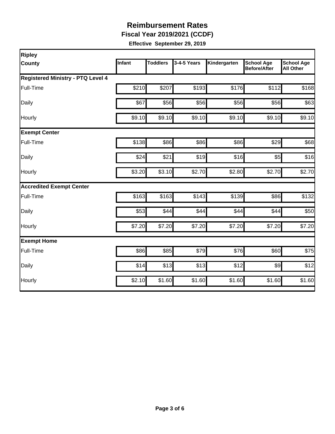**Fiscal Year 2019/2021 (CCDF)**

| <b>Ripley</b>                            |        |                 |             |              |                                          |                                       |
|------------------------------------------|--------|-----------------|-------------|--------------|------------------------------------------|---------------------------------------|
| <b>County</b>                            | Infant | <b>Toddlers</b> | 3-4-5 Years | Kindergarten | <b>School Age</b><br><b>Before/After</b> | <b>School Age</b><br><b>All Other</b> |
| <b>Registered Ministry - PTQ Level 4</b> |        |                 |             |              |                                          |                                       |
| Full-Time                                | \$210  | \$207           | \$193       | \$176        | \$112                                    | \$168                                 |
| Daily                                    | \$67   | \$56            | \$56        | \$56         | \$56                                     | \$63                                  |
| Hourly                                   | \$9.10 | \$9.10          | \$9.10      | \$9.10       | \$9.10                                   | \$9.10                                |
| <b>Exempt Center</b>                     |        |                 |             |              |                                          |                                       |
| Full-Time                                | \$138  | \$86            | \$86        | \$86         | \$29                                     | \$68                                  |
| Daily                                    | \$24   | \$21            | \$19        | \$16         | \$5                                      | \$16                                  |
| Hourly                                   | \$3.20 | \$3.10          | \$2.70      | \$2.80       | \$2.70                                   | \$2.70                                |
| <b>Accredited Exempt Center</b>          |        |                 |             |              |                                          |                                       |
| Full-Time                                | \$163  | \$163           | \$143       | \$139        | \$86                                     | \$132                                 |
| Daily                                    | \$53   | \$44            | \$44        | \$44         | \$44                                     | \$50                                  |
| Hourly                                   | \$7.20 | \$7.20          | \$7.20      | \$7.20       | \$7.20                                   | \$7.20                                |
| <b>Exempt Home</b>                       |        |                 |             |              |                                          |                                       |
| Full-Time                                | \$86   | \$85            | \$79        | \$76         | \$60                                     | \$75                                  |
| Daily                                    | \$14   | \$13            | \$13        | \$12         | $\frac{1}{2}$                            | \$12                                  |
| Hourly                                   | \$2.10 | \$1.60          | \$1.60      | \$1.60       | \$1.60                                   | \$1.60                                |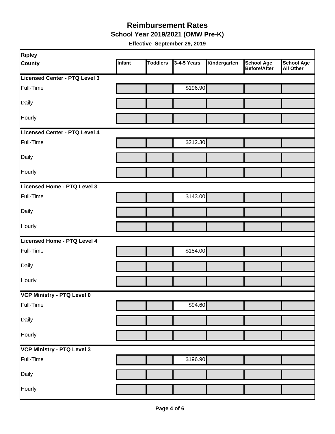**School Year 2019/2021 (OMW Pre-K)**

| <b>Ripley</b>                 |        |                 |             |              |                                   |                         |
|-------------------------------|--------|-----------------|-------------|--------------|-----------------------------------|-------------------------|
| <b>County</b>                 | Infant | <b>Toddlers</b> | 3-4-5 Years | Kindergarten | <b>School Age</b><br>Before/After | School Age<br>All Other |
| Licensed Center - PTQ Level 3 |        |                 |             |              |                                   |                         |
| Full-Time                     |        |                 | \$196.90    |              |                                   |                         |
| Daily                         |        |                 |             |              |                                   |                         |
| Hourly                        |        |                 |             |              |                                   |                         |
| Licensed Center - PTQ Level 4 |        |                 |             |              |                                   |                         |
| Full-Time                     |        |                 | \$212.30    |              |                                   |                         |
| Daily                         |        |                 |             |              |                                   |                         |
| Hourly                        |        |                 |             |              |                                   |                         |
| Licensed Home - PTQ Level 3   |        |                 |             |              |                                   |                         |
| Full-Time                     |        |                 | \$143.00    |              |                                   |                         |
| Daily                         |        |                 |             |              |                                   |                         |
| Hourly                        |        |                 |             |              |                                   |                         |
| Licensed Home - PTQ Level 4   |        |                 |             |              |                                   |                         |
| Full-Time                     |        |                 | \$154.00    |              |                                   |                         |
| Daily                         |        |                 |             |              |                                   |                         |
| Hourly                        |        |                 |             |              |                                   |                         |
| VCP Ministry - PTQ Level 0    |        |                 |             |              |                                   |                         |
| Full-Time                     |        |                 | \$94.60     |              |                                   |                         |
| Daily                         |        |                 |             |              |                                   |                         |
| Hourly                        |        |                 |             |              |                                   |                         |
| VCP Ministry - PTQ Level 3    |        |                 |             |              |                                   |                         |
| Full-Time                     |        |                 | \$196.90    |              |                                   |                         |
| Daily                         |        |                 |             |              |                                   |                         |
| Hourly                        |        |                 |             |              |                                   |                         |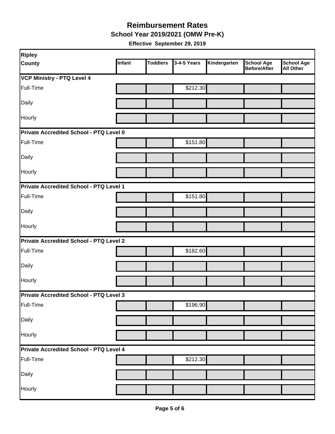**School Year 2019/2021 (OMW Pre-K)**

| Ripley                                         |        |                 |             |              |                                          |                                       |  |  |
|------------------------------------------------|--------|-----------------|-------------|--------------|------------------------------------------|---------------------------------------|--|--|
| <b>County</b>                                  | Infant | <b>Toddlers</b> | 3-4-5 Years | Kindergarten | <b>School Age</b><br><b>Before/After</b> | <b>School Age</b><br><b>All Other</b> |  |  |
| <b>VCP Ministry - PTQ Level 4</b>              |        |                 |             |              |                                          |                                       |  |  |
| Full-Time                                      |        |                 | \$212.30    |              |                                          |                                       |  |  |
| Daily                                          |        |                 |             |              |                                          |                                       |  |  |
| Hourly                                         |        |                 |             |              |                                          |                                       |  |  |
| Private Accredited School - PTQ Level 0        |        |                 |             |              |                                          |                                       |  |  |
| Full-Time                                      |        |                 | \$151.80    |              |                                          |                                       |  |  |
| Daily                                          |        |                 |             |              |                                          |                                       |  |  |
| Hourly                                         |        |                 |             |              |                                          |                                       |  |  |
| Private Accredited School - PTQ Level 1        |        |                 |             |              |                                          |                                       |  |  |
| Full-Time                                      |        |                 | \$151.80    |              |                                          |                                       |  |  |
| Daily                                          |        |                 |             |              |                                          |                                       |  |  |
| Hourly                                         |        |                 |             |              |                                          |                                       |  |  |
| <b>Private Accredited School - PTQ Level 2</b> |        |                 |             |              |                                          |                                       |  |  |
| Full-Time                                      |        |                 | \$182.60    |              |                                          |                                       |  |  |
| Daily                                          |        |                 |             |              |                                          |                                       |  |  |
| Hourly                                         |        |                 |             |              |                                          |                                       |  |  |
| Private Accredited School - PTQ Level 3        |        |                 |             |              |                                          |                                       |  |  |
| Full-Time                                      |        |                 | \$196.90    |              |                                          |                                       |  |  |
| Daily                                          |        |                 |             |              |                                          |                                       |  |  |
| Hourly                                         |        |                 |             |              |                                          |                                       |  |  |
| Private Accredited School - PTQ Level 4        |        |                 |             |              |                                          |                                       |  |  |
| Full-Time                                      |        |                 | \$212.30    |              |                                          |                                       |  |  |
| Daily                                          |        |                 |             |              |                                          |                                       |  |  |
| Hourly                                         |        |                 |             |              |                                          |                                       |  |  |